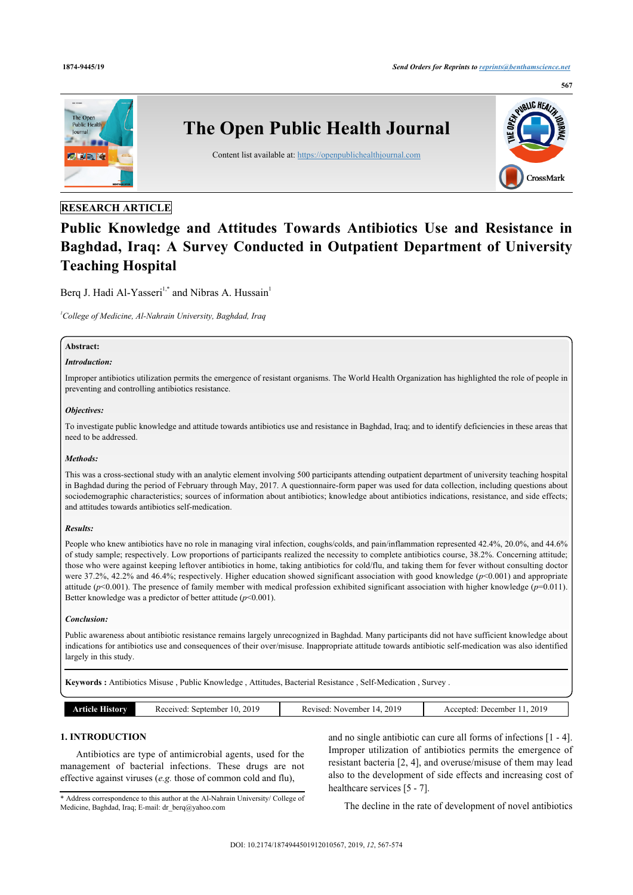

# **RESEARCH ARTICLE**

# **Public Knowledge and Attitudes Towards Antibiotics Use and Resistance in Baghdad, Iraq: A Survey Conducted in Outpatient Department of University Teaching Hospital**

Berq J. Hadi Al-Yasseri<sup>[1,](#page-0-0)[\\*](#page-0-1)</sup> and Nibras A. Hussain<sup>[1](#page-0-0)</sup>

<span id="page-0-0"></span>*<sup>1</sup>College of Medicine, Al-Nahrain University, Baghdad, Iraq*

# **Abstract:**

#### *Introduction:*

Improper antibiotics utilization permits the emergence of resistant organisms. The World Health Organization has highlighted the role of people in preventing and controlling antibiotics resistance.

### *Objectives:*

To investigate public knowledge and attitude towards antibiotics use and resistance in Baghdad, Iraq; and to identify deficiencies in these areas that need to be addressed.

### *Methods:*

This was a cross-sectional study with an analytic element involving 500 participants attending outpatient department of university teaching hospital in Baghdad during the period of February through May, 2017. A questionnaire-form paper was used for data collection, including questions about sociodemographic characteristics; sources of information about antibiotics; knowledge about antibiotics indications, resistance, and side effects; and attitudes towards antibiotics self-medication.

#### *Results:*

People who knew antibiotics have no role in managing viral infection, coughs/colds, and pain/inflammation represented 42.4%, 20.0%, and 44.6% of study sample; respectively. Low proportions of participants realized the necessity to complete antibiotics course, 38.2%. Concerning attitude; those who were against keeping leftover antibiotics in home, taking antibiotics for cold/flu, and taking them for fever without consulting doctor were 37.2%, 42.2% and 46.4%; respectively. Higher education showed significant association with good knowledge (*p*<0.001) and appropriate attitude (*p*<0.001). The presence of family member with medical profession exhibited significant association with higher knowledge (*p*=0.011). Better knowledge was a predictor of better attitude (*p*<0.001).

#### *Conclusion:*

Public awareness about antibiotic resistance remains largely unrecognized in Baghdad. Many participants did not have sufficient knowledge about indications for antibiotics use and consequences of their over/misuse. Inappropriate attitude towards antibiotic self-medication was also identified largely in this study.

**Keywords :** Antibiotics Misuse , Public Knowledge , Attitudes, Bacterial Resistance , Self-Medication , Survey .

| 2019<br><b>Article</b><br>10<br>Received:<br>September<br>History | 2019<br>November<br>Revised.<br>14 | 2019<br>December<br>Accepted: |
|-------------------------------------------------------------------|------------------------------------|-------------------------------|
|-------------------------------------------------------------------|------------------------------------|-------------------------------|

# **1. INTRODUCTION**

Antibiotics are type of antimicrobial agents, used for the management of bacterial infections. These drugs are not effective against viruses (*e.g.* those of common cold and flu),

<span id="page-0-1"></span>\* Address correspondence to this author at the Al-Nahrain University/ College of Medicine, Baghdad, Iraq; E-mail: [dr\\_berq@yahoo.com](mailto:dr_berq@yahoo.com)

and no single antibiotic can cure all forms of infections [\[1](#page-6-0) - [4](#page-6-1)]. Improper utilization of antibiotics permits the emergence of resistant bacteria [[2,](#page-6-2) [4](#page-6-1)], and overuse/misuse of them may lead also to the development of side effects and increasing cost of healthcare services [\[5](#page-6-3) - [7\]](#page-6-4).

The decline in the rate of development of novel antibiotics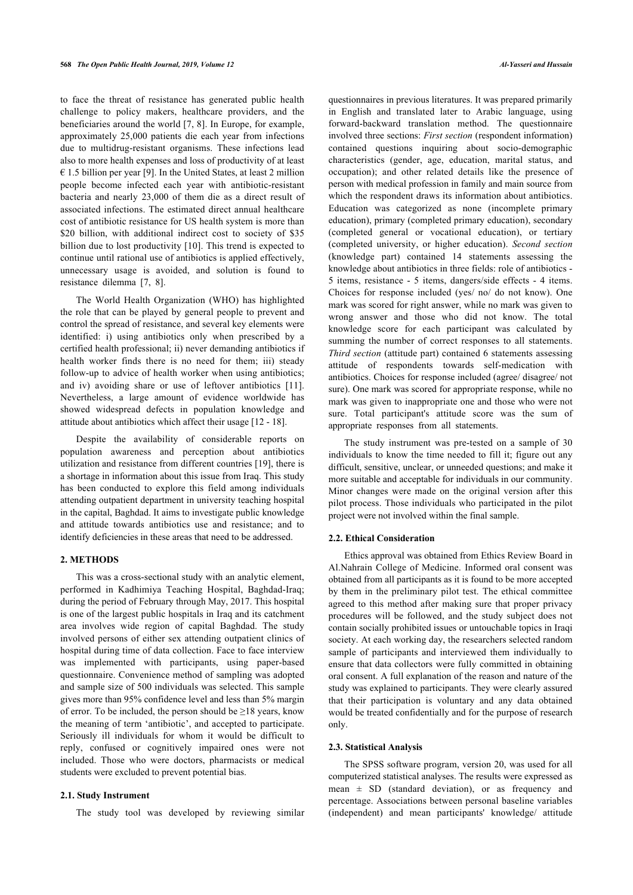to face the threat of resistance has generated public health challenge to policy makers, healthcare providers, and the beneficiaries around the world [[7](#page-6-4), [8\]](#page-6-5). In Europe, for example, approximately 25,000 patients die each year from infections due to multidrug-resistant organisms. These infections lead also to more health expenses and loss of productivity of at least  $\epsilon$  1.5 billion per year [[9](#page-6-6)]. In the United States, at least 2 million people become infected each year with antibiotic-resistant bacteria and nearly 23,000 of them die as a direct result of associated infections. The estimated direct annual healthcare cost of antibiotic resistance for US health system is more than \$20 billion, with additional indirect cost to society of \$35 billion due to lost productivity [[10\]](#page-6-7). This trend is expected to continue until rational use of antibiotics is applied effectively, unnecessary usage is avoided, and solution is found to resistance dilemma [\[7,](#page-6-4) [8\]](#page-6-5).

The World Health Organization (WHO) has highlighted the role that can be played by general people to prevent and control the spread of resistance, and several key elements were identified: i) using antibiotics only when prescribed by a certified health professional; ii) never demanding antibiotics if health worker finds there is no need for them; iii) steady follow-up to advice of health worker when using antibiotics; and iv) avoiding share or use of leftover antibiotics[[11\]](#page-6-8). Nevertheless, a large amount of evidence worldwide has showed widespread defects in population knowledge and attitude about antibiotics which affect their usage [\[12](#page-6-9) - [18\]](#page-6-10).

Despite the availability of considerable reports on population awareness and perception about antibiotics utilization and resistance from different countries [[19\]](#page-6-11), there is a shortage in information about this issue from Iraq. This study has been conducted to explore this field among individuals attending outpatient department in university teaching hospital in the capital, Baghdad. It aims to investigate public knowledge and attitude towards antibiotics use and resistance; and to identify deficiencies in these areas that need to be addressed.

### **2. METHODS**

This was a cross-sectional study with an analytic element, performed in Kadhimiya Teaching Hospital, Baghdad-Iraq; during the period of February through May, 2017. This hospital is one of the largest public hospitals in Iraq and its catchment area involves wide region of capital Baghdad. The study involved persons of either sex attending outpatient clinics of hospital during time of data collection. Face to face interview was implemented with participants, using paper-based questionnaire. Convenience method of sampling was adopted and sample size of 500 individuals was selected. This sample gives more than 95% confidence level and less than 5% margin of error. To be included, the person should be  $\geq$ 18 years, know the meaning of term 'antibiotic', and accepted to participate. Seriously ill individuals for whom it would be difficult to reply, confused or cognitively impaired ones were not included. Those who were doctors, pharmacists or medical students were excluded to prevent potential bias.

#### **2.1. Study Instrument**

The study tool was developed by reviewing similar

questionnaires in previous literatures. It was prepared primarily in English and translated later to Arabic language, using forward-backward translation method. The questionnaire involved three sections: *First section* (respondent information) contained questions inquiring about socio-demographic characteristics (gender, age, education, marital status, and occupation); and other related details like the presence of person with medical profession in family and main source from which the respondent draws its information about antibiotics. Education was categorized as none (incomplete primary education), primary (completed primary education), secondary (completed general or vocational education), or tertiary (completed university, or higher education). *Second section* (knowledge part) contained 14 statements assessing the knowledge about antibiotics in three fields: role of antibiotics - 5 items, resistance - 5 items, dangers/side effects - 4 items. Choices for response included (yes/ no/ do not know). One mark was scored for right answer, while no mark was given to wrong answer and those who did not know. The total knowledge score for each participant was calculated by summing the number of correct responses to all statements. *Third section* (attitude part) contained 6 statements assessing attitude of respondents towards self-medication with antibiotics. Choices for response included (agree/ disagree/ not sure). One mark was scored for appropriate response, while no mark was given to inappropriate one and those who were not sure. Total participant's attitude score was the sum of appropriate responses from all statements.

The study instrument was pre-tested on a sample of 30 individuals to know the time needed to fill it; figure out any difficult, sensitive, unclear, or unneeded questions; and make it more suitable and acceptable for individuals in our community. Minor changes were made on the original version after this pilot process. Those individuals who participated in the pilot project were not involved within the final sample.

#### **2.2. Ethical Consideration**

Ethics approval was obtained from Ethics Review Board in Al.Nahrain College of Medicine. Informed oral consent was obtained from all participants as it is found to be more accepted by them in the preliminary pilot test. The ethical committee agreed to this method after making sure that proper privacy procedures will be followed, and the study subject does not contain socially prohibited issues or untouchable topics in Iraqi society. At each working day, the researchers selected random sample of participants and interviewed them individually to ensure that data collectors were fully committed in obtaining oral consent. A full explanation of the reason and nature of the study was explained to participants. They were clearly assured that their participation is voluntary and any data obtained would be treated confidentially and for the purpose of research only.

#### **2.3. Statistical Analysis**

The SPSS software program, version 20, was used for all computerized statistical analyses. The results were expressed as mean  $\pm$  SD (standard deviation), or as frequency and percentage. Associations between personal baseline variables (independent) and mean participants' knowledge/ attitude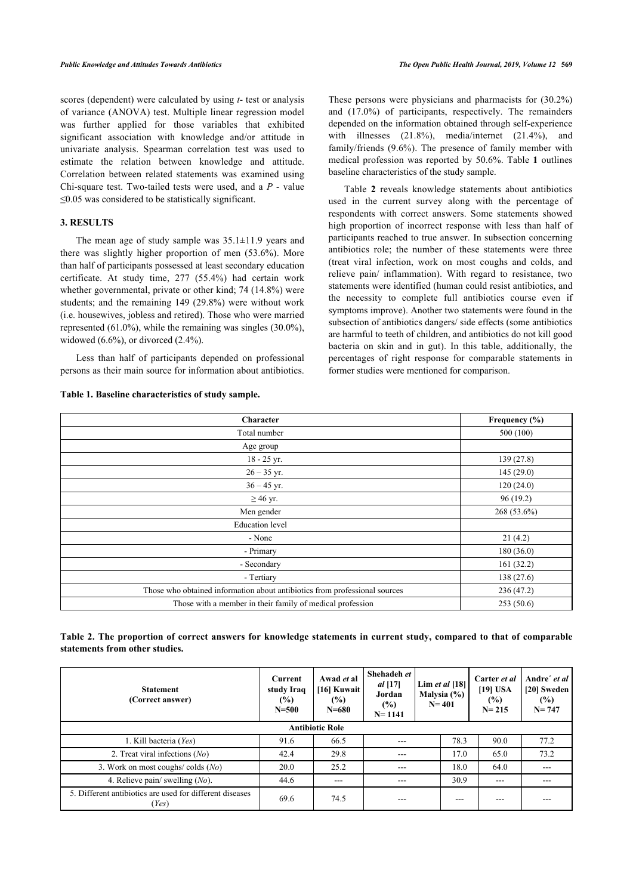scores (dependent) were calculated by using *t*- test or analysis of variance (ANOVA) test. Multiple linear regression model was further applied for those variables that exhibited significant association with knowledge and/or attitude in univariate analysis. Spearman correlation test was used to estimate the relation between knowledge and attitude. Correlation between related statements was examined using Chi-square test. Two-tailed tests were used, and a *P -* value ≤0.05 was considered to be statistically significant.

# **3. RESULTS**

The mean age of study sample was  $35.1\pm11.9$  years and there was slightly higher proportion of men (53.6%). More than half of participants possessed at least secondary education certificate. At study time, 277 (55.4%) had certain work whether governmental, private or other kind; 74 (14.8%) were students; and the remaining 149 (29.8%) were without work (i.e. housewives, jobless and retired). Those who were married represented (61.0%), while the remaining was singles (30.0%), widowed  $(6.6\%)$ , or divorced  $(2.4\%)$ .

Less than half of participants depended on professional persons as their main source for information about antibiotics.

# <span id="page-2-0"></span>**Table 1. Baseline characteristics of study sample.**

These persons were physicians and pharmacists for (30.2%) and (17.0%) of participants, respectively. The remainders depended on the information obtained through self-experience with illnesses (21.8%), media/internet (21.4%), and family/friends (9.6%). The presence of family member with medical profession was reported by 50.6%. Table **[1](#page-2-0)** outlines baseline characteristics of the study sample.

Table**2** reveals knowledge statements about antibiotics used in the current survey along with the percentage of respondents with correct answers. Some statements showed high proportion of incorrect response with less than half of participants reached to true answer. In subsection concerning antibiotics role; the number of these statements were three (treat viral infection, work on most coughs and colds, and relieve pain/ inflammation). With regard to resistance, two statements were identified (human could resist antibiotics, and the necessity to complete full antibiotics course even if symptoms improve). Another two statements were found in the subsection of antibiotics dangers/ side effects (some antibiotics are harmful to teeth of children, and antibiotics do not kill good bacteria on skin and in gut). In this table, additionally, the percentages of right response for comparable statements in former studies were mentioned for comparison.

| Character                                                                  | Frequency $(\% )$ |
|----------------------------------------------------------------------------|-------------------|
| Total number                                                               | 500 (100)         |
| Age group                                                                  |                   |
| 18 - 25 yr.                                                                | 139 (27.8)        |
| $26 - 35$ yr.                                                              | 145 (29.0)        |
| $36 - 45$ yr.                                                              | 120(24.0)         |
| $\geq$ 46 yr.                                                              | 96(19.2)          |
| Men gender                                                                 | $268(53.6\%)$     |
| <b>Education</b> level                                                     |                   |
| - None                                                                     | 21(4.2)           |
| - Primary                                                                  | 180(36.0)         |
| - Secondary                                                                | 161(32.2)         |
| - Tertiary                                                                 | 138 (27.6)        |
| Those who obtained information about antibiotics from professional sources | 236 (47.2)        |
| Those with a member in their family of medical profession                  | 253(50.6)         |

# <span id="page-2-1"></span>**Table 2. The proportion of correct answers for knowledge statements in current study, compared to that of comparable statements from other studies.**

| <b>Statement</b><br>(Correct answer)                              | <b>Current</b><br>study Iraq<br>$(\%)$<br>$N = 500$ | Awad et al<br>[16] Kuwait<br>(%)<br>$N = 680$ | Shehadeh et<br>$al$ [17]<br>Jordan<br>$(\%)$<br>$N = 1141$ |  | Lim et al $[18]$<br>Malysia $(\% )$<br>$N = 401$ | Carter et al<br>$[19]$ USA<br>$(\%)$<br>$N = 215$ | Andre' et al<br>[20] Sweden<br>$(\%)$<br>$N = 747$ |  |  |
|-------------------------------------------------------------------|-----------------------------------------------------|-----------------------------------------------|------------------------------------------------------------|--|--------------------------------------------------|---------------------------------------------------|----------------------------------------------------|--|--|
| <b>Antibiotic Role</b>                                            |                                                     |                                               |                                                            |  |                                                  |                                                   |                                                    |  |  |
| 1. Kill bacteria (Yes)                                            | 91.6                                                | 66.5                                          | $---$                                                      |  | 78.3                                             | 90.0                                              | 77.2                                               |  |  |
| 2. Treat viral infections $(No)$                                  | 42.4                                                | 29.8                                          | $- - -$                                                    |  | 17.0                                             | 65.0                                              | 73.2                                               |  |  |
| 3. Work on most coughs/colds $(No)$                               | 20.0                                                | 25.2                                          | ---                                                        |  | 18.0                                             | 64.0                                              |                                                    |  |  |
| 4. Relieve pain/ swelling $(No)$ .                                | 44.6                                                | $- - -$                                       | $- - -$                                                    |  | 30.9                                             | $---$                                             | ---                                                |  |  |
| 5. Different antibiotics are used for different diseases<br>(Yes) | 69.6                                                | 74.5                                          | ---                                                        |  | ---                                              | ---                                               |                                                    |  |  |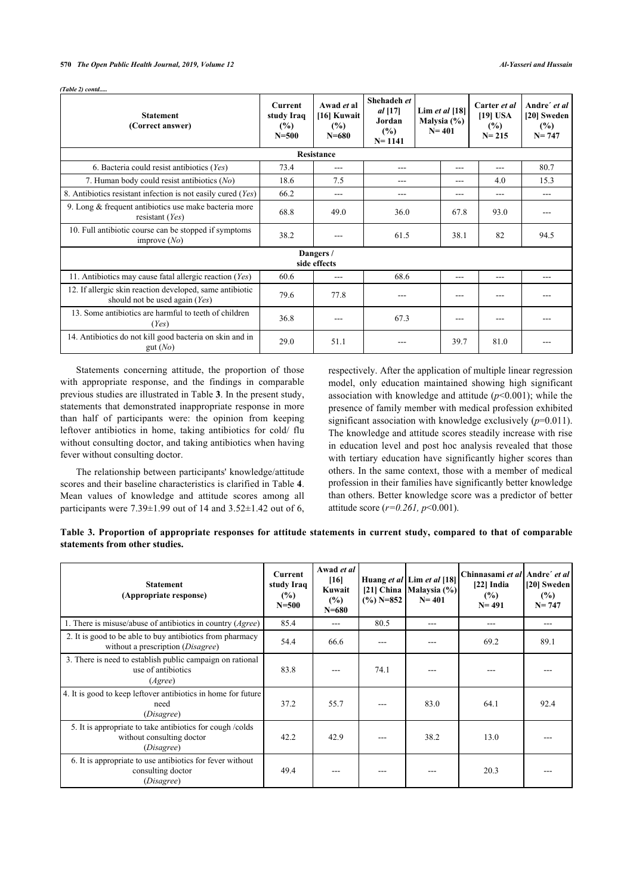#### **570** *The Open Public Health Journal, 2019, Volume 12 Al-Yasseri and Hussain*

| <b>Statement</b><br>(Correct answer)                                                       | <b>Current</b><br>study Iraq<br>$\frac{6}{2}$<br>$N = 500$ | Awad et al<br>[16] Kuwait<br>(%)<br>$N = 680$ | Shehadeh et<br>$al$ [17]<br>Jordan<br>(%)<br>$N = 1141$ | Lim et al $[18]$<br>Malysia $(\%)$<br>$N = 401$ |      | Carter et al<br>$[19]$ USA<br>$(\%)$<br>$N = 215$ |      |
|--------------------------------------------------------------------------------------------|------------------------------------------------------------|-----------------------------------------------|---------------------------------------------------------|-------------------------------------------------|------|---------------------------------------------------|------|
|                                                                                            |                                                            | <b>Resistance</b>                             |                                                         |                                                 |      |                                                   |      |
| 6. Bacteria could resist antibiotics (Yes)                                                 | 73.4                                                       | ---                                           | ---                                                     |                                                 | ---  | $---$                                             | 80.7 |
| 7. Human body could resist antibiotics (No)                                                | 18.6                                                       | 7.5                                           | ---                                                     |                                                 | ---  | 4.0                                               | 15.3 |
| 8. Antibiotics resistant infection is not easily cured (Yes)                               | 66.2                                                       | ---                                           | ---                                                     |                                                 | ---  | $---$                                             | ---  |
| 9. Long & frequent antibiotics use make bacteria more<br>resistant $(Yes)$                 | 68.8                                                       | 49.0                                          | 36.0                                                    |                                                 | 67.8 | 93.0                                              |      |
| 10. Full antibiotic course can be stopped if symptoms<br>improve $(No)$                    | 38.2                                                       | $- - -$                                       | 61.5                                                    |                                                 | 38.1 | 82                                                | 94.5 |
|                                                                                            |                                                            | Dangers /<br>side effects                     |                                                         |                                                 |      |                                                   |      |
| 11. Antibiotics may cause fatal allergic reaction (Yes)                                    | 60.6                                                       | ---                                           | 68.6                                                    |                                                 | ---  | $---$                                             |      |
| 12. If allergic skin reaction developed, same antibiotic<br>should not be used again (Yes) | 79.6                                                       | 77.8                                          | ---                                                     |                                                 | ---  | ---                                               |      |
| 13. Some antibiotics are harmful to teeth of children<br>(Yes)                             | 36.8                                                       |                                               | 67.3                                                    |                                                 | ---  | ---                                               |      |
| 14. Antibiotics do not kill good bacteria on skin and in<br>gut(No)                        | 29.0                                                       | 51.1                                          |                                                         |                                                 | 39.7 | 81.0                                              |      |

Statements concerning attitude, the proportion of those with appropriate response, and the findings in comparable previous studies are illustrated in Table **[3](#page-3-0)**. In the present study, statements that demonstrated inappropriate response in more than half of participants were: the opinion from keeping leftover antibiotics in home, taking antibiotics for cold/ flu without consulting doctor, and taking antibiotics when having fever without consulting doctor.

The relationship between participants' knowledge/attitude scores and their baseline characteristics is clarified in Table **[4](#page-3-1)**. Mean values of knowledge and attitude scores among all participants were  $7.39\pm1.99$  out of 14 and  $3.52\pm1.42$  out of 6, respectively. After the application of multiple linear regression model, only education maintained showing high significant association with knowledge and attitude (*p*<0.001); while the presence of family member with medical profession exhibited significant association with knowledge exclusively  $(p=0.011)$ . The knowledge and attitude scores steadily increase with rise in education level and post hoc analysis revealed that those with tertiary education have significantly higher scores than others. In the same context, those with a member of medical profession in their families have significantly better knowledge than others. Better knowledge score was a predictor of better attitude score (*r=0.261, p*<0.001).

<span id="page-3-0"></span>

| Table 3. Proportion of appropriate responses for attitude statements in current study, compared to that of comparable |  |  |  |  |  |
|-----------------------------------------------------------------------------------------------------------------------|--|--|--|--|--|
| statements from other studies.                                                                                        |  |  |  |  |  |

<span id="page-3-1"></span>

| <b>Statement</b><br>(Appropriate response)                                                             | Current<br>study Iraq<br>(%)<br>$N = 500$ | Awad et al<br>[16]<br>Kuwait<br>(%)<br>$N = 680$ | $(\frac{9}{6})$ N=852 | Huang et al Lim et al [18]<br>[21] China   Malaysia (%)<br>$N = 401$ | Chinnasami et al Andre' et al<br>$[22]$ India<br>(%)<br>$N = 491$ | [20] Sweden<br>$(\%)$<br>$N = 747$ |
|--------------------------------------------------------------------------------------------------------|-------------------------------------------|--------------------------------------------------|-----------------------|----------------------------------------------------------------------|-------------------------------------------------------------------|------------------------------------|
| 1. There is misuse/abuse of antibiotics in country $(A\text{gree})$                                    | 85.4                                      | ---                                              | 80.5                  | ---                                                                  | $---$                                                             | ---                                |
| 2. It is good to be able to buy antibiotics from pharmacy<br>without a prescription (Disagree)         | 54.4                                      | 66.6                                             |                       |                                                                      | 69.2                                                              | 89.1                               |
| 3. There is need to establish public campaign on rational<br>use of antibiotics<br>(A <sub>gre</sub> ) | 83.8                                      |                                                  | 74.1                  |                                                                      |                                                                   |                                    |
| 4. It is good to keep leftover antibiotics in home for future<br>need<br>(Disagree)                    | 37.2                                      | 55.7                                             |                       | 83.0                                                                 | 64.1                                                              | 92.4                               |
| 5. It is appropriate to take antibiotics for cough /colds<br>without consulting doctor<br>(Disagree)   | 42.2                                      | 42.9                                             |                       | 38.2                                                                 | 13.0                                                              |                                    |
| 6. It is appropriate to use antibiotics for fever without<br>consulting doctor<br>(Disagree)           | 49.4                                      | ---                                              |                       |                                                                      | 20.3                                                              |                                    |

*(Table 2) contd.....*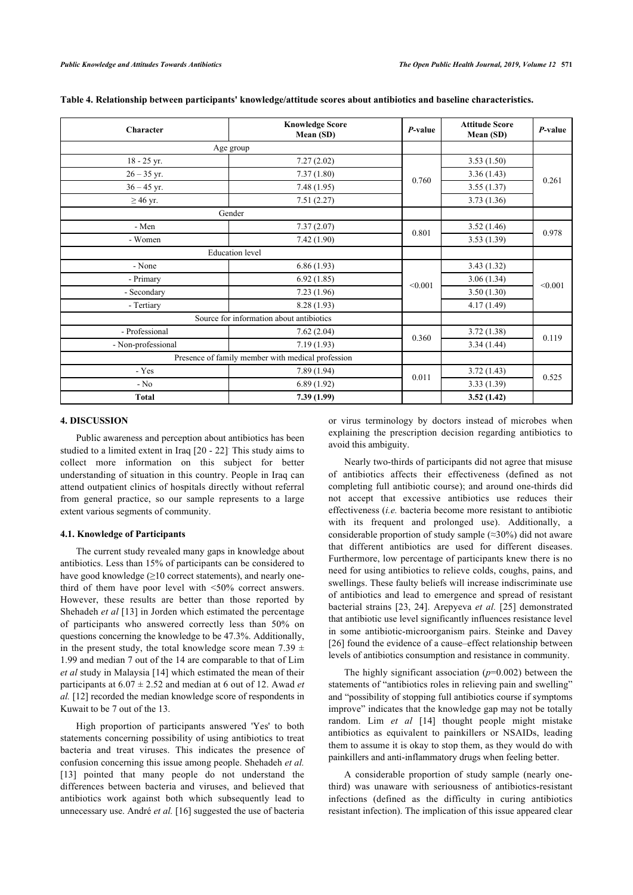| Character                                         | <b>Knowledge Score</b><br>P-value<br>Mean (SD) |         | <b>Attitude Score</b><br>Mean (SD) | P-value |
|---------------------------------------------------|------------------------------------------------|---------|------------------------------------|---------|
|                                                   | Age group                                      |         |                                    |         |
| 18 - 25 yr.                                       | 7.27(2.02)                                     |         | 3.53(1.50)                         |         |
| $26 - 35$ yr.                                     | 7.37(1.80)                                     |         | 3.36(1.43)                         |         |
| $36 - 45$ yr.                                     | 7.48(1.95)                                     | 0.760   | 3.55(1.37)                         | 0.261   |
| $\geq$ 46 yr.                                     | 7.51(2.27)                                     |         | 3.73(1.36)                         |         |
|                                                   | Gender                                         |         |                                    |         |
| - Men                                             | 7.37(2.07)                                     |         | 3.52(1.46)                         |         |
| - Women                                           | 7.42(1.90)                                     | 0.801   | 3.53(1.39)                         | 0.978   |
|                                                   | <b>Education</b> level                         |         |                                    |         |
| - None                                            | 6.86(1.93)                                     |         | 3.43(1.32)                         |         |
| - Primary                                         | 6.92(1.85)                                     | < 0.001 | 3.06(1.34)                         | < 0.001 |
| - Secondary                                       | 7.23(1.96)                                     |         | 3.50(1.30)                         |         |
| - Tertiary                                        | 8.28 (1.93)                                    |         | 4.17(1.49)                         |         |
|                                                   | Source for information about antibiotics       |         |                                    |         |
| - Professional                                    | 7.62(2.04)                                     |         | 3.72(1.38)                         |         |
| - Non-professional                                | 7.19(1.93)                                     | 0.360   | 3.34(1.44)                         | 0.119   |
| Presence of family member with medical profession |                                                |         |                                    |         |
| - Yes                                             | 7.89(1.94)                                     |         | 3.72(1.43)                         |         |
| $- No$                                            | 6.89(1.92)                                     | 0.011   | 3.33(1.39)                         | 0.525   |
| <b>Total</b>                                      | 7.39 (1.99)                                    |         | 3.52(1.42)                         |         |

**Table 4. Relationship between participants' knowledge/attitude scores about antibiotics and baseline characteristics.**

#### **4. DISCUSSION**

Public awareness and perception about antibiotics has been studied to a limited extent in Iraq [\[20](#page-6-14) - [22](#page-6-16)] This study aims to collect more information on this subject for better understanding of situation in this country. People in Iraq can attend outpatient clinics of hospitals directly without referral from general practice, so our sample represents to a large extent various segments of community.

#### **4.1. Knowledge of Participants**

The current study revealed many gaps in knowledge about antibiotics. Less than 15% of participants can be considered to have good knowledge  $(\geq 10$  correct statements), and nearly onethird of them have poor level with <50% correct answers. However, these results are better than those reported by Shehadeh *et al* [\[13\]](#page-6-17) in Jorden which estimated the percentage of participants who answered correctly less than 50% on questions concerning the knowledge to be 47.3%. Additionally, in the present study, the total knowledge score mean 7.39  $\pm$ 1.99 and median 7 out of the 14 are comparable to that of Lim *et al* study in Malaysia [\[14\]](#page-6-18) which estimated the mean of their participants at 6.07 ± 2.52 and median at 6 out of 12. Awad *et al.* [\[12](#page-6-9)] recorded the median knowledge score of respondents in Kuwait to be 7 out of the 13.

High proportion of participants answered 'Yes' to both statements concerning possibility of using antibiotics to treat bacteria and treat viruses. This indicates the presence of confusion concerning this issue among people. Shehadeh *et al.* [[13\]](#page-6-17) pointed that many people do not understand the differences between bacteria and viruses, and believed that antibiotics work against both which subsequently lead to unnecessary use. André *et al.* [[16](#page-6-12)] suggested the use of bacteria

or virus terminology by doctors instead of microbes when explaining the prescription decision regarding antibiotics to avoid this ambiguity.

Nearly two-thirds of participants did not agree that misuse of antibiotics affects their effectiveness (defined as not completing full antibiotic course); and around one-thirds did not accept that excessive antibiotics use reduces their effectiveness (*i.e.* bacteria become more resistant to antibiotic with its frequent and prolonged use). Additionally, a considerable proportion of study sample (≈30%) did not aware that different antibiotics are used for different diseases. Furthermore, low percentage of participants knew there is no need for using antibiotics to relieve colds, coughs, pains, and swellings. These faulty beliefs will increase indiscriminate use of antibiotics and lead to emergence and spread of resistant bacterial strains [[23](#page-6-19), [24](#page-6-20)]. Arepyeva *et al.* [\[25](#page-6-21)] demonstrated that antibiotic use level significantly influences resistance level in some antibiotic-microorganism pairs. Steinke and Davey [[26](#page-6-22)] found the evidence of a cause–effect relationship between levels of antibiotics consumption and resistance in community.

The highly significant association (*p*=0.002) between the statements of "antibiotics roles in relieving pain and swelling" and "possibility of stopping full antibiotics course if symptoms improve" indicates that the knowledge gap may not be totally random. Lim *et al* [[14\]](#page-6-18) thought people might mistake antibiotics as equivalent to painkillers or NSAIDs, leading them to assume it is okay to stop them, as they would do with painkillers and anti-inflammatory drugs when feeling better.

A considerable proportion of study sample (nearly onethird) was unaware with seriousness of antibiotics-resistant infections (defined as the difficulty in curing antibiotics resistant infection). The implication of this issue appeared clear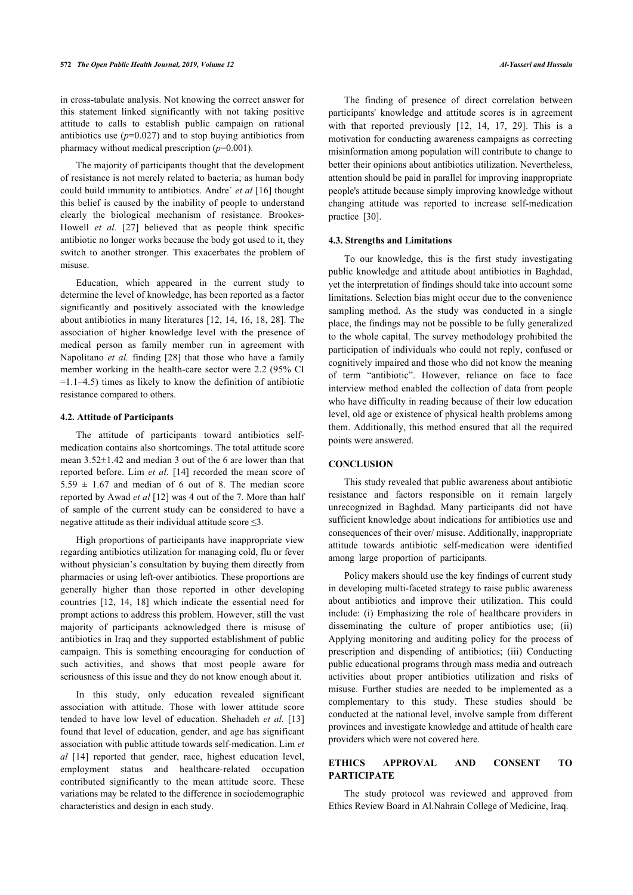in cross-tabulate analysis. Not knowing the correct answer for this statement linked significantly with not taking positive attitude to calls to establish public campaign on rational antibiotics use  $(p=0.027)$  and to stop buying antibiotics from pharmacy without medical prescription (*p*=0.001).

The majority of participants thought that the development of resistance is not merely related to bacteria; as human body could build immunity to antibiotics. Andre´ *et al* [\[16\]](#page-6-12) thought this belief is caused by the inability of people to understand clearly the biological mechanism of resistance. Brookes-Howell *et al.* [\[27\]](#page-6-23) believed that as people think specific antibiotic no longer works because the body got used to it, they switch to another stronger. This exacerbates the problem of misuse.

Education, which appeared in the current study to determine the level of knowledge, has been reported as a factor significantly and positively associated with the knowledge about antibiotics in many literatures [\[12,](#page-6-9) [14,](#page-6-18) [16](#page-6-12), [18,](#page-6-10) [28\]](#page-6-24). The association of higher knowledge level with the presence of medical person as family member run in agreement with Napolitano *et al.* finding[[28](#page-6-24)] that those who have a family member working in the health-care sector were 2.2 (95% CI  $=1.1-4.5$ ) times as likely to know the definition of antibiotic resistance compared to others.

### **4.2. Attitude of Participants**

The attitude of participants toward antibiotics selfmedication contains also shortcomings. The total attitude score mean 3.52±1.42 and median 3 out of the 6 are lower than that reported before. Lim *et al.* [[14\]](#page-6-18) recorded the mean score of  $5.59 \pm 1.67$  and median of 6 out of 8. The median score reported by Awad *et al* [[12\]](#page-6-9) was 4 out of the 7. More than half of sample of the current study can be considered to have a negative attitude as their individual attitude score ≤3.

High proportions of participants have inappropriate view regarding antibiotics utilization for managing cold, flu or fever without physician's consultation by buying them directly from pharmacies or using left-over antibiotics. These proportions are generally higher than those reported in other developing countries [\[12,](#page-6-9) [14](#page-6-18), [18](#page-6-10)] which indicate the essential need for prompt actions to address this problem. However, still the vast majority of participants acknowledged there is misuse of antibiotics in Iraq and they supported establishment of public campaign. This is something encouraging for conduction of such activities, and shows that most people aware for seriousness of this issue and they do not know enough about it.

In this study, only education revealed significant association with attitude. Those with lower attitude score tended to have low level of education. Shehadeh *et al.* [[13](#page-6-17)] found that level of education, gender, and age has significant association with public attitude towards self-medication. Lim *et al* [\[14](#page-6-18)] reported that gender, race, highest education level, employment status and healthcare-related occupation contributed significantly to the mean attitude score. These variations may be related to the difference in sociodemographic characteristics and design in each study.

The finding of presence of direct correlation between participants' knowledge and attitude scores is in agreement with that reported previously [\[12,](#page-6-9) [14](#page-6-18), [17,](#page-6-13) [29](#page-6-25)]. This is a motivation for conducting awareness campaigns as correcting misinformation among population will contribute to change to better their opinions about antibiotics utilization. Nevertheless, attention should be paid in parallel for improving inappropriate people's attitude because simply improving knowledge without changing attitude was reported to increase self-medication practice[[30\]](#page-7-0).

#### **4.3. Strengths and Limitations**

To our knowledge, this is the first study investigating public knowledge and attitude about antibiotics in Baghdad, yet the interpretation of findings should take into account some limitations. Selection bias might occur due to the convenience sampling method. As the study was conducted in a single place, the findings may not be possible to be fully generalized to the whole capital. The survey methodology prohibited the participation of individuals who could not reply, confused or cognitively impaired and those who did not know the meaning of term "antibiotic". However, reliance on face to face interview method enabled the collection of data from people who have difficulty in reading because of their low education level, old age or existence of physical health problems among them. Additionally, this method ensured that all the required points were answered.

# **CONCLUSION**

This study revealed that public awareness about antibiotic resistance and factors responsible on it remain largely unrecognized in Baghdad. Many participants did not have sufficient knowledge about indications for antibiotics use and consequences of their over/ misuse. Additionally, inappropriate attitude towards antibiotic self-medication were identified among large proportion of participants.

Policy makers should use the key findings of current study in developing multi-faceted strategy to raise public awareness about antibiotics and improve their utilization. This could include: (i) Emphasizing the role of healthcare providers in disseminating the culture of proper antibiotics use; (ii) Applying monitoring and auditing policy for the process of prescription and dispending of antibiotics; (iii) Conducting public educational programs through mass media and outreach activities about proper antibiotics utilization and risks of misuse. Further studies are needed to be implemented as a complementary to this study. These studies should be conducted at the national level, involve sample from different provinces and investigate knowledge and attitude of health care providers which were not covered here.

# **ETHICS APPROVAL AND CONSENT TO PARTICIPATE**

The study protocol was reviewed and approved from Ethics Review Board in Al.Nahrain College of Medicine, Iraq.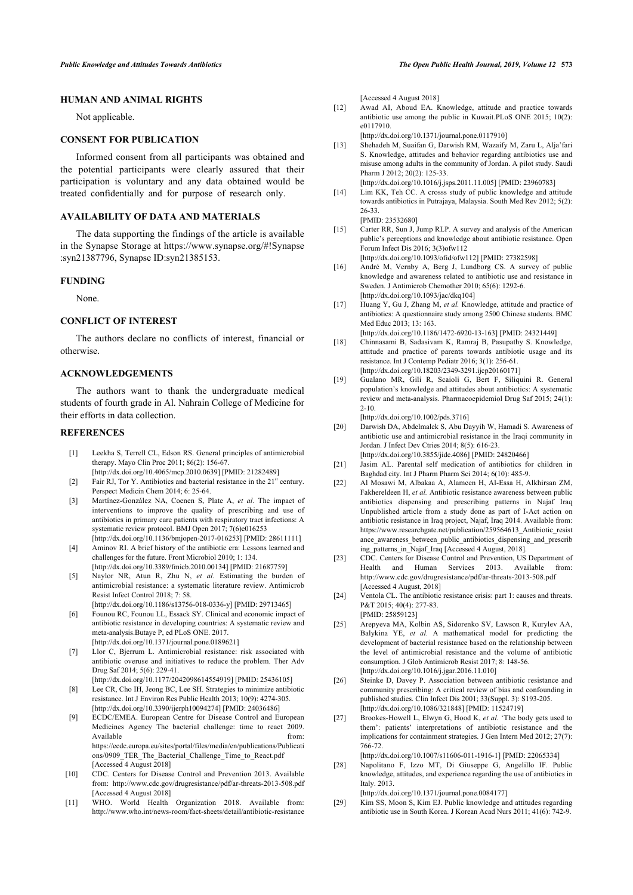# <span id="page-6-9"></span>**HUMAN AND ANIMAL RIGHTS**

Not applicable.

#### <span id="page-6-17"></span>**CONSENT FOR PUBLICATION**

Informed consent from all participants was obtained and the potential participants were clearly assured that their participation is voluntary and any data obtained would be treated confidentially and for purpose of research only.

# <span id="page-6-18"></span>**AVAILABILITY OF DATA AND MATERIALS**

The data supporting the findings of the article is available in the Synapse Storage at [https://www.synapse.org/#!Synapse](https://www.synapse.org/#!Synapse:syn21387796) [:syn21387796,](https://www.synapse.org/#!Synapse:syn21387796) Synapse ID:syn21385153.

### <span id="page-6-12"></span>**FUNDING**

None.

# <span id="page-6-13"></span>**CONFLICT OF INTEREST**

<span id="page-6-10"></span>The authors declare no conflicts of interest, financial or otherwise.

#### <span id="page-6-11"></span>**ACKNOWLEDGEMENTS**

The authors want to thank the undergraduate medical students of fourth grade in Al. Nahrain College of Medicine for their efforts in data collection.

## <span id="page-6-15"></span><span id="page-6-14"></span><span id="page-6-0"></span>**REFERENCES**

- [1] Leekha S, Terrell CL, Edson RS. General principles of antimicrobial therapy. Mayo Clin Proc 2011; 86(2): 156-67. [\[http://dx.doi.org/10.4065/mcp.2010.0639\]](http://dx.doi.org/10.4065/mcp.2010.0639) [PMID: [21282489](http://www.ncbi.nlm.nih.gov/pubmed/21282489)]
	-
- <span id="page-6-16"></span><span id="page-6-2"></span>[2] Fair RJ, Tor Y. Antibiotics and bacterial resistance in the  $21<sup>st</sup>$  century. Perspect Medicin Chem 2014; 6: 25-64.
- [3] Martínez-González NA, Coenen S, Plate A, *et al.* The impact of interventions to improve the quality of prescribing and use of antibiotics in primary care patients with respiratory tract infections: A systematic review protocol. BMJ Open 2017; 7(6)e016253 [\[http://dx.doi.org/10.1136/bmjopen-2017-016253](http://dx.doi.org/10.1136/bmjopen-2017-016253)] [PMID: [28611111\]](http://www.ncbi.nlm.nih.gov/pubmed/28611111)
- <span id="page-6-19"></span><span id="page-6-1"></span>[4] Aminov RI. A brief history of the antibiotic era: Lessons learned and challenges for the future. Front Microbiol 2010; 1: 134. [\[http://dx.doi.org/10.3389/fmicb.2010.00134\]](http://dx.doi.org/10.3389/fmicb.2010.00134) [PMID: [21687759](http://www.ncbi.nlm.nih.gov/pubmed/21687759)]
- <span id="page-6-3"></span>[5] Naylor NR, Atun R, Zhu N, *et al.* Estimating the burden of antimicrobial resistance: a systematic literature review. Antimicrob Resist Infect Control 2018; 7: 58.
- <span id="page-6-21"></span><span id="page-6-20"></span>[\[http://dx.doi.org/10.1186/s13756-018-0336-y](http://dx.doi.org/10.1186/s13756-018-0336-y)] [PMID: [29713465\]](http://www.ncbi.nlm.nih.gov/pubmed/29713465) [6] Founou RC, Founou LL, Essack SY. Clinical and economic impact of antibiotic resistance in developing countries: A systematic review and meta-analysis.Butaye P, ed PLoS ONE. 2017.
- [\[http://dx.doi.org/10.1371/journal.pone.0189621\]](http://dx.doi.org/10.1371/journal.pone.0189621)
- <span id="page-6-4"></span>[7] Llor C, Bjerrum L. Antimicrobial resistance: risk associated with antibiotic overuse and initiatives to reduce the problem. Ther Adv Drug Saf 2014; 5(6): 229-41.
- [\[http://dx.doi.org/10.1177/2042098614554919](http://dx.doi.org/10.1177/2042098614554919)] [PMID: [25436105\]](http://www.ncbi.nlm.nih.gov/pubmed/25436105)
- <span id="page-6-22"></span><span id="page-6-5"></span>[8] Lee CR, Cho IH, Jeong BC, Lee SH. Strategies to minimize antibiotic resistance. Int J Environ Res Public Health 2013; 10(9): 4274-305. [\[http://dx.doi.org/10.3390/ijerph10094274\]](http://dx.doi.org/10.3390/ijerph10094274) [PMID: [24036486](http://www.ncbi.nlm.nih.gov/pubmed/24036486)]
- <span id="page-6-23"></span><span id="page-6-6"></span>[9] ECDC/EMEA. European Centre for Disease Control and European Medicines Agency The bacterial challenge: time to react 2009. Available from: the from: the from: the from: the from: the from: the from: the from: the from: the from: the from: the from: the from: the from: the from: the from: the from: the from: the from: the from: the from: the fr [https://ecdc.europa.eu/sites/portal/files/media/en/publications/Publicati](https://ecdc.europa.eu/sites/portal/files/media/en/publications/Publications/0909_TER_The_Bacterial_Challenge_Time_to_React.pdf) [ons/0909\\_TER\\_The\\_Bacterial\\_Challenge\\_Time\\_to\\_React.pdf](https://ecdc.europa.eu/sites/portal/files/media/en/publications/Publications/0909_TER_The_Bacterial_Challenge_Time_to_React.pdf) [Accessed 4 August 2018]
- <span id="page-6-24"></span><span id="page-6-7"></span>[10] CDC. Centers for Disease Control and Prevention 2013. Available from:<http://www.cdc.gov/drugresistance/pdf/ar-threats-2013-508.pdf> [Accessed 4 August 2018]
- <span id="page-6-25"></span><span id="page-6-8"></span>[11] WHO. World Health Organization 2018. Available from: <http://www.who.int/news-room/fact-sheets/detail/antibiotic-resistance>

[Accessed 4 August 2018]

[12] Awad AI, Aboud EA. Knowledge, attitude and practice towards antibiotic use among the public in Kuwait.PLoS ONE 2015; 10(2): e0117910.

[\[http://dx.doi.org/10.1371/journal.pone.0117910\]](http://dx.doi.org/10.1371/journal.pone.0117910)

- [13] Shehadeh M, Suaifan G, Darwish RM, Wazaify M, Zaru L, Alja'fari S. Knowledge, attitudes and behavior regarding antibiotics use and misuse among adults in the community of Jordan. A pilot study. Saudi Pharm J 2012; 20(2): 125-33. [\[http://dx.doi.org/10.1016/j.jsps.2011.11.005\]](http://dx.doi.org/10.1016/j.jsps.2011.11.005) [PMID: [23960783](http://www.ncbi.nlm.nih.gov/pubmed/23960783)]
- [14] Lim KK, Teh CC. A crosss study of public knowledge and attitude towards antibiotics in Putrajaya, Malaysia. South Med Rev 2012; 5(2): 26-33. [PMID: [23532680\]](http://www.ncbi.nlm.nih.gov/pubmed/23532680)
- [15] Carter RR, Sun J, Jump RLP. A survey and analysis of the American public's perceptions and knowledge about antibiotic resistance. Open Forum Infect Dis 2016; 3(3)ofw112
	- [\[http://dx.doi.org/10.1093/ofid/ofw112](http://dx.doi.org/10.1093/ofid/ofw112)] [PMID: [27382598\]](http://www.ncbi.nlm.nih.gov/pubmed/27382598)
- [16] André M, Vernby A, Berg J, Lundborg CS. A survey of public knowledge and awareness related to antibiotic use and resistance in Sweden. J Antimicrob Chemother 2010; 65(6): 1292-6. [\[http://dx.doi.org/10.1093/jac/dkq104\]](http://dx.doi.org/10.1093/jac/dkq104)
- [17] Huang Y, Gu J, Zhang M, *et al.* Knowledge, attitude and practice of antibiotics: A questionnaire study among 2500 Chinese students. BMC Med Educ 2013; 13: 163.
- [\[http://dx.doi.org/10.1186/1472-6920-13-163\]](http://dx.doi.org/10.1186/1472-6920-13-163) [PMID: [24321449\]](http://www.ncbi.nlm.nih.gov/pubmed/24321449)
- [18] Chinnasami B, Sadasivam K, Ramraj B, Pasupathy S. Knowledge, attitude and practice of parents towards antibiotic usage and its resistance. Int J Contemp Pediatr 2016; 3(1): 256-61. [\[http://dx.doi.org/10.18203/2349-3291.ijcp20160171\]](http://dx.doi.org/10.18203/2349-3291.ijcp20160171)
- [19] Gualano MR, Gili R, Scaioli G, Bert F, Siliquini R. General population's knowledge and attitudes about antibiotics: A systematic review and meta-analysis. Pharmacoepidemiol Drug Saf 2015; 24(1): 2-10.
- [\[http://dx.doi.org/10.1002/pds.3716\]](http://dx.doi.org/10.1002/pds.3716)
- [20] Darwish DA, Abdelmalek S, Abu Dayyih W, Hamadi S. Awareness of antibiotic use and antimicrobial resistance in the Iraqi community in Jordan. J Infect Dev Ctries 2014; 8(5): 616-23.
	- [\[http://dx.doi.org/10.3855/jidc.4086\]](http://dx.doi.org/10.3855/jidc.4086) [PMID: [24820466](http://www.ncbi.nlm.nih.gov/pubmed/24820466)]
- [21] Jasim AL. Parental self medication of antibiotics for children in Baghdad city. Int J Pharm Pharm Sci 2014; 6(10): 485-9.
- [22] Al Mosawi M, Albakaa A, Alameen H, Al-Essa H, Alkhirsan ZM, Fakhereldeen H, et al. Antibiotic resistance awareness between public antibiotics dispensing and prescribing patterns in Najaf Iraq Unpublished article from a study done as part of I-Act action on antibiotic resistance in Iraq project, Najaf, Iraq 2014. Available from: [https://www.researchgate.net/publication/259564613\\_Antibiotic\\_resist](https://www.researchgate.net/publication/259564613_Antibiotic_resistance_awareness_between_public_antibiotics_dispensing_and_prescribing_patterns_in_Najaf_Iraq) [ance\\_awareness\\_between\\_public\\_antibiotics\\_dispensing\\_and\\_prescrib](https://www.researchgate.net/publication/259564613_Antibiotic_resistance_awareness_between_public_antibiotics_dispensing_and_prescribing_patterns_in_Najaf_Iraq) [ing\\_patterns\\_in\\_Najaf\\_Iraq](https://www.researchgate.net/publication/259564613_Antibiotic_resistance_awareness_between_public_antibiotics_dispensing_and_prescribing_patterns_in_Najaf_Iraq) [Accessed 4 August, 2018].
- [23] CDC. Centers for Disease Control and Prevention, US Department of Health and Human Services 2013. Available from: <http://www.cdc.gov/drugresistance/pdf/ar-threats-2013-508.pdf> [Accessed 4 August, 2018]
- [24] Ventola CL. The antibiotic resistance crisis: part 1: causes and threats. P&T 2015; 40(4): 277-83. [PMID: [25859123\]](http://www.ncbi.nlm.nih.gov/pubmed/25859123)
- [25] Arepyeva MA, Kolbin AS, Sidorenko SV, Lawson R, Kurylev AA, Balykina YE, *et al.* A mathematical model for predicting the development of bacterial resistance based on the relationship between the level of antimicrobial resistance and the volume of antibiotic consumption. J Glob Antimicrob Resist 2017; 8: 148-56. [\[http://dx.doi.org/10.1016/j.jgar.2016.11.010\]](http://dx.doi.org/10.1016/j.jgar.2016.11.010)
- [26] Steinke D, Davey P. Association between antibiotic resistance and community prescribing: A critical review of bias and confounding in published studies. Clin Infect Dis 2001; 33(Suppl. 3): S193-205. [\[http://dx.doi.org/10.1086/321848](http://dx.doi.org/10.1086/321848)] [PMID: [11524719](http://www.ncbi.nlm.nih.gov/pubmed/11524719)]
- [27] Brookes-Howell L, Elwyn G, Hood K, *et al.* 'The body gets used to them': patients' interpretations of antibiotic resistance and the implications for containment strategies. J Gen Intern Med 2012; 27(7): 766-72.

[\[http://dx.doi.org/10.1007/s11606-011-1916-1\]](http://dx.doi.org/10.1007/s11606-011-1916-1) [PMID: [22065334](http://www.ncbi.nlm.nih.gov/pubmed/22065334)]

[28] Napolitano F, Izzo MT, Di Giuseppe G, Angelillo IF. Public knowledge, attitudes, and experience regarding the use of antibiotics in Italy. 2013.

[\[http://dx.doi.org/10.1371/journal.pone.0084177\]](http://dx.doi.org/10.1371/journal.pone.0084177)

[29] Kim SS, Moon S, Kim EJ. Public knowledge and attitudes regarding antibiotic use in South Korea. J Korean Acad Nurs 2011; 41(6): 742-9.